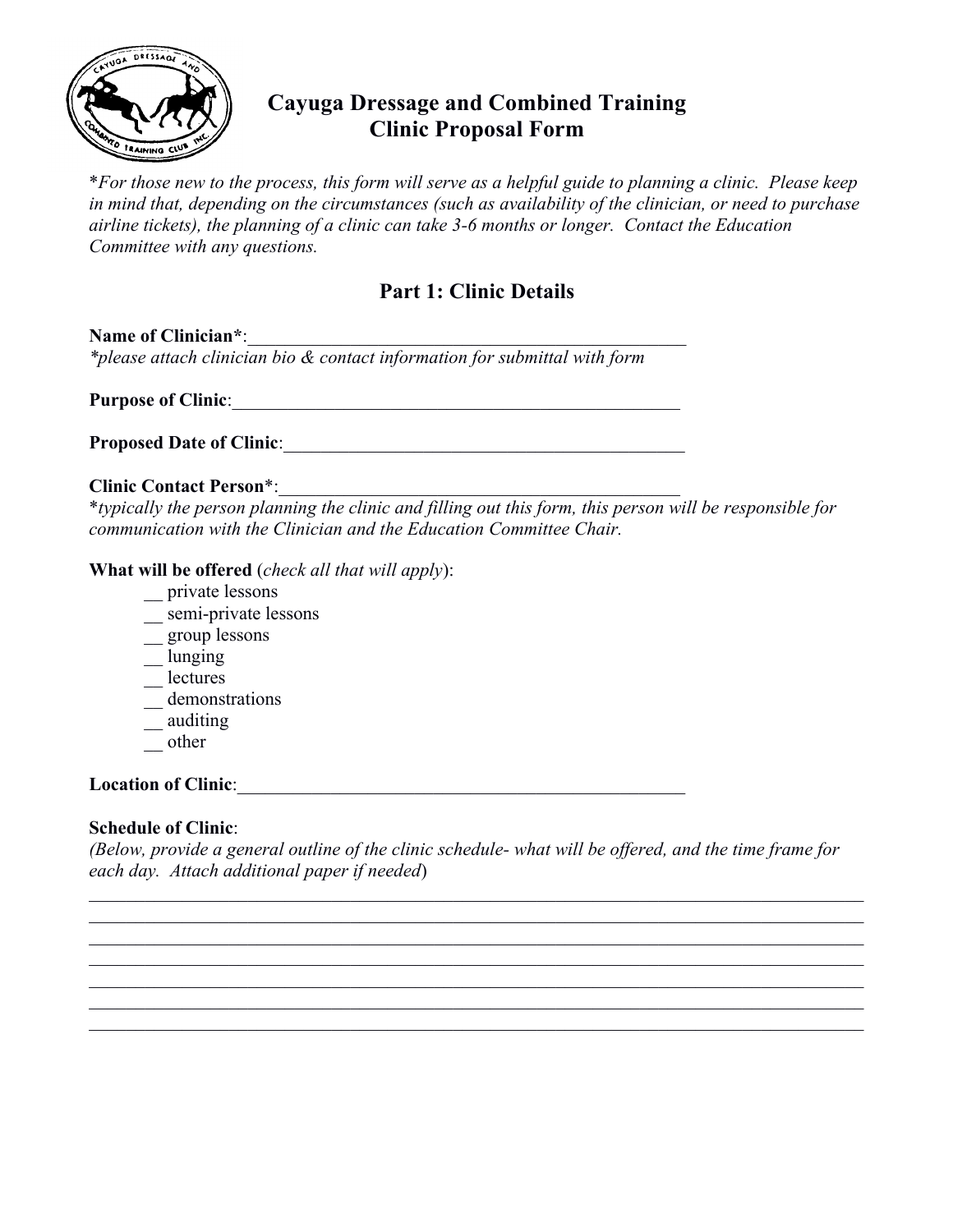

## **Cayuga Dressage and Combined Training Clinic Proposal Form**

\**For those new to the process, this form will serve as a helpful guide to planning a clinic. Please keep in mind that, depending on the circumstances (such as availability of the clinician, or need to purchase airline tickets), the planning of a clinic can take 3-6 months or longer. Contact the Education Committee with any questions.*

### **Part 1: Clinic Details**

Name of Clinician\*: *\*please attach clinician bio & contact information for submittal with form*

**Purpose of Clinic**:\_\_\_\_\_\_\_\_\_\_\_\_\_\_\_\_\_\_\_\_\_\_\_\_\_\_\_\_\_\_\_\_\_\_\_\_\_\_\_\_\_\_\_\_\_\_\_\_

**Proposed Date of Clinic**:\_\_\_\_\_\_\_\_\_\_\_\_\_\_\_\_\_\_\_\_\_\_\_\_\_\_\_\_\_\_\_\_\_\_\_\_\_\_\_\_\_\_\_

#### **Clinic Contact Person\*:**

\**typically the person planning the clinic and filling out this form, this person will be responsible for communication with the Clinician and the Education Committee Chair.*

#### **What will be offered** (*check all that will apply*):

- \_\_ private lessons
- \_\_ semi-private lessons
- \_\_ group lessons
- \_\_ lunging
- \_\_ lectures
- demonstrations
- \_\_ auditing
- $\equiv$  other

### Location of Clinic:

### **Schedule of Clinic**:

*(Below, provide a general outline of the clinic schedule- what will be offered, and the time frame for each day. Attach additional paper if needed*)

 $\_$  , and the contribution of the contribution of the contribution of the contribution of  $\mathcal{L}_\text{max}$  $\mathcal{L}_\mathcal{L} = \{ \mathcal{L}_\mathcal{L} = \{ \mathcal{L}_\mathcal{L} = \{ \mathcal{L}_\mathcal{L} = \{ \mathcal{L}_\mathcal{L} = \{ \mathcal{L}_\mathcal{L} = \{ \mathcal{L}_\mathcal{L} = \{ \mathcal{L}_\mathcal{L} = \{ \mathcal{L}_\mathcal{L} = \{ \mathcal{L}_\mathcal{L} = \{ \mathcal{L}_\mathcal{L} = \{ \mathcal{L}_\mathcal{L} = \{ \mathcal{L}_\mathcal{L} = \{ \mathcal{L}_\mathcal{L} = \{ \mathcal{L}_\mathcal{$  $\mathcal{L}_\mathcal{L} = \{ \mathcal{L}_\mathcal{L} = \{ \mathcal{L}_\mathcal{L} = \{ \mathcal{L}_\mathcal{L} = \{ \mathcal{L}_\mathcal{L} = \{ \mathcal{L}_\mathcal{L} = \{ \mathcal{L}_\mathcal{L} = \{ \mathcal{L}_\mathcal{L} = \{ \mathcal{L}_\mathcal{L} = \{ \mathcal{L}_\mathcal{L} = \{ \mathcal{L}_\mathcal{L} = \{ \mathcal{L}_\mathcal{L} = \{ \mathcal{L}_\mathcal{L} = \{ \mathcal{L}_\mathcal{L} = \{ \mathcal{L}_\mathcal{$  $\_$  , and the contribution of the contribution of the contribution of the contribution of  $\mathcal{L}_\text{max}$  $\_$  , and the contribution of the contribution of the contribution of the contribution of  $\mathcal{L}_\text{max}$  $\_$  , and the contribution of the contribution of the contribution of the contribution of  $\mathcal{L}_\text{max}$  $\_$  , and the contribution of the contribution of the contribution of the contribution of  $\mathcal{L}_\text{max}$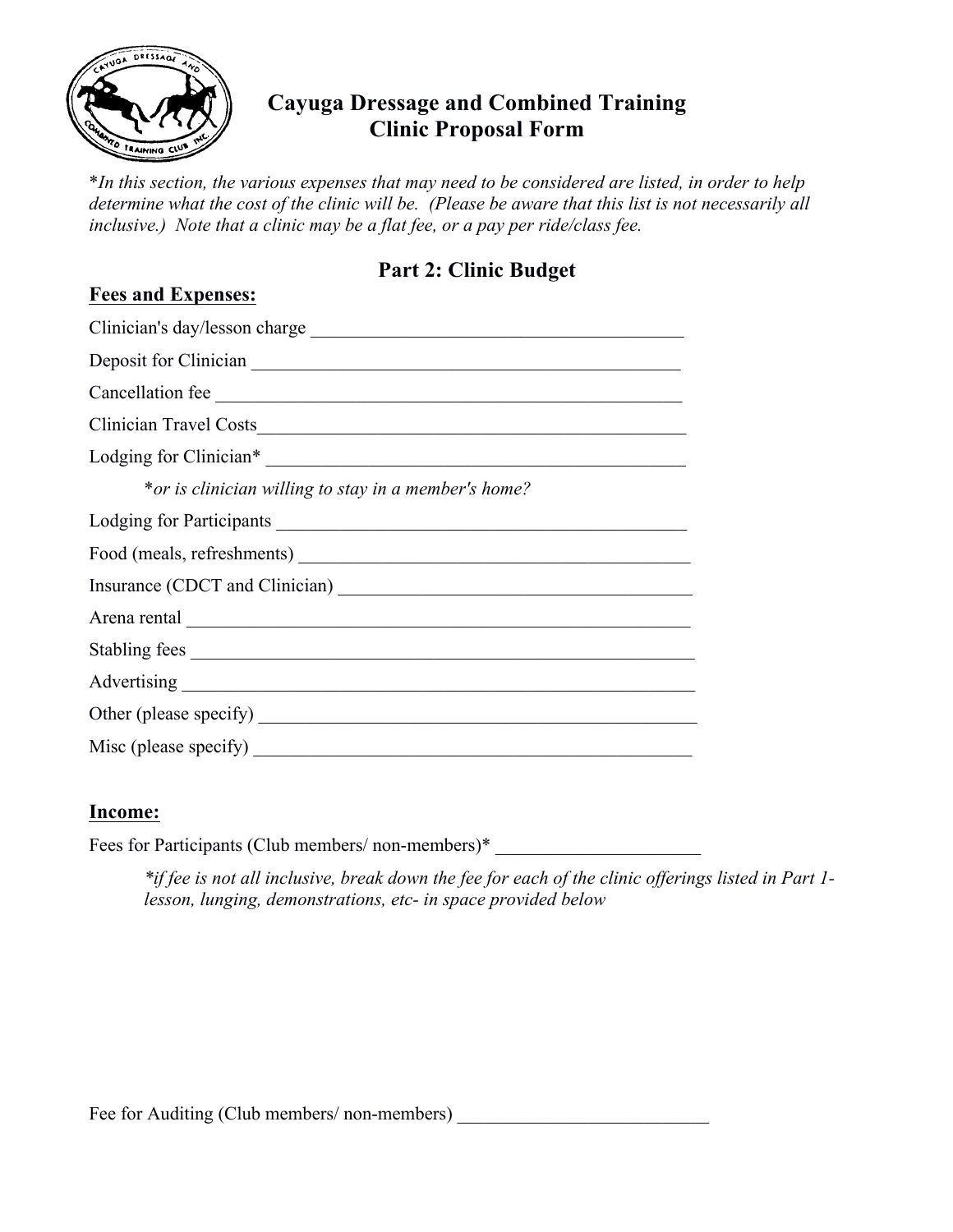

**Fees and Expenses:**

## **Cayuga Dressage and Combined Training Clinic Proposal Form**

\**In this section, the various expenses that may need to be considered are listed, in order to help determine what the cost of the clinic will be. (Please be aware that this list is not necessarily all inclusive.) Note that a clinic may be a flat fee, or a pay per ride/class fee.*

### **Part 2: Clinic Budget**

| Clinician's day/lesson charge                        |
|------------------------------------------------------|
|                                                      |
| Cancellation fee                                     |
|                                                      |
|                                                      |
| *or is clinician willing to stay in a member's home? |
| Lodging for Participants                             |
|                                                      |
|                                                      |
|                                                      |
| Stabling fees                                        |
|                                                      |
|                                                      |
|                                                      |

### **Income:**

Fees for Participants (Club members/ non-members)\*

*\*if fee is not all inclusive, break down the fee for each of the clinic offerings listed in Part 1 lesson, lunging, demonstrations, etc- in space provided below*